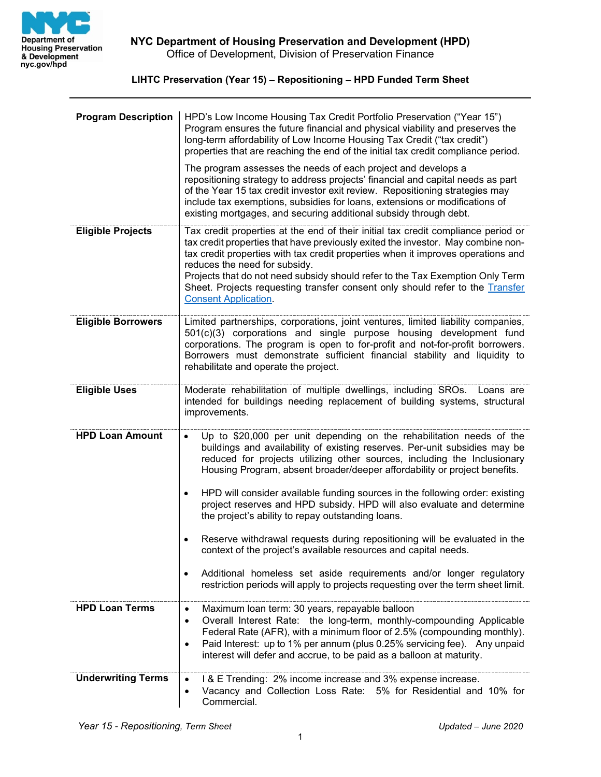

**LIHTC Preservation (Year 15) – Repositioning – HPD Funded Term Sheet**

| <b>Program Description</b> | HPD's Low Income Housing Tax Credit Portfolio Preservation ("Year 15")<br>Program ensures the future financial and physical viability and preserves the<br>long-term affordability of Low Income Housing Tax Credit ("tax credit")<br>properties that are reaching the end of the initial tax credit compliance period.                                                                                                                                                                                                                      |
|----------------------------|----------------------------------------------------------------------------------------------------------------------------------------------------------------------------------------------------------------------------------------------------------------------------------------------------------------------------------------------------------------------------------------------------------------------------------------------------------------------------------------------------------------------------------------------|
|                            | The program assesses the needs of each project and develops a<br>repositioning strategy to address projects' financial and capital needs as part<br>of the Year 15 tax credit investor exit review. Repositioning strategies may<br>include tax exemptions, subsidies for loans, extensions or modifications of<br>existing mortgages, and securing additional subsidy through debt.                                                                                                                                                         |
| <b>Eligible Projects</b>   | Tax credit properties at the end of their initial tax credit compliance period or<br>tax credit properties that have previously exited the investor. May combine non-<br>tax credit properties with tax credit properties when it improves operations and<br>reduces the need for subsidy.<br>Projects that do not need subsidy should refer to the Tax Exemption Only Term<br>Sheet. Projects requesting transfer consent only should refer to the Transfer<br><b>Consent Application</b>                                                   |
| <b>Eligible Borrowers</b>  | Limited partnerships, corporations, joint ventures, limited liability companies,<br>501(c)(3) corporations and single purpose housing development fund<br>corporations. The program is open to for-profit and not-for-profit borrowers.<br>Borrowers must demonstrate sufficient financial stability and liquidity to<br>rehabilitate and operate the project.                                                                                                                                                                               |
| <b>Eligible Uses</b>       | Moderate rehabilitation of multiple dwellings, including SROs.<br>Loans are<br>intended for buildings needing replacement of building systems, structural<br>improvements.                                                                                                                                                                                                                                                                                                                                                                   |
| <b>HPD Loan Amount</b>     | Up to \$20,000 per unit depending on the rehabilitation needs of the<br>$\bullet$<br>buildings and availability of existing reserves. Per-unit subsidies may be<br>reduced for projects utilizing other sources, including the Inclusionary<br>Housing Program, absent broader/deeper affordability or project benefits.<br>HPD will consider available funding sources in the following order: existing<br>٠<br>project reserves and HPD subsidy. HPD will also evaluate and determine<br>the project's ability to repay outstanding loans. |
|                            | Reserve withdrawal requests during repositioning will be evaluated in the<br>context of the project's available resources and capital needs.                                                                                                                                                                                                                                                                                                                                                                                                 |
|                            | Additional homeless set aside requirements and/or longer regulatory<br>$\bullet$<br>restriction periods will apply to projects requesting over the term sheet limit.                                                                                                                                                                                                                                                                                                                                                                         |
| <b>HPD Loan Terms</b>      | Maximum loan term: 30 years, repayable balloon<br>٠<br>Overall Interest Rate: the long-term, monthly-compounding Applicable<br>$\bullet$<br>Federal Rate (AFR), with a minimum floor of 2.5% (compounding monthly).<br>Paid Interest: up to 1% per annum (plus 0.25% servicing fee). Any unpaid<br>$\bullet$<br>interest will defer and accrue, to be paid as a balloon at maturity.                                                                                                                                                         |
| <b>Underwriting Terms</b>  | I & E Trending: 2% income increase and 3% expense increase.<br>$\bullet$<br>Vacancy and Collection Loss Rate: 5% for Residential and 10% for<br>$\bullet$<br>Commercial.                                                                                                                                                                                                                                                                                                                                                                     |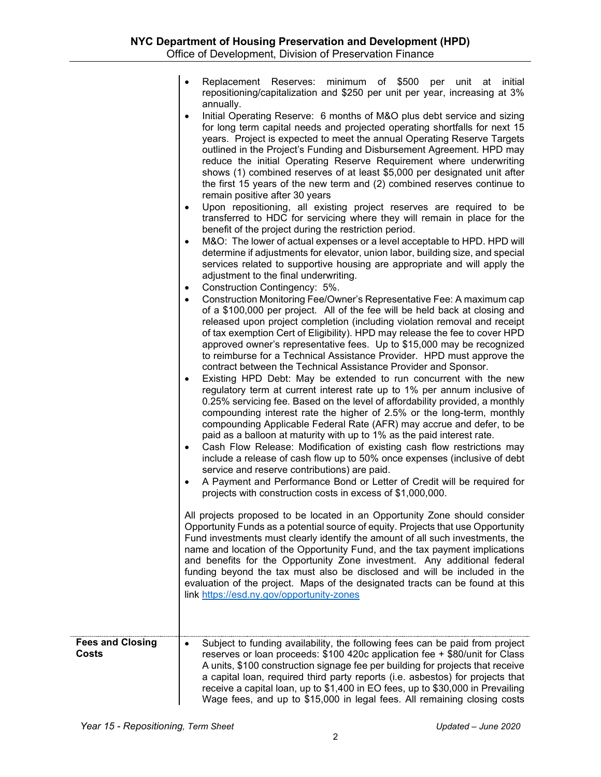- Replacement Reserves: minimum of \$500 per unit at initial repositioning/capitalization and \$250 per unit per year, increasing at 3% annually.
- Initial Operating Reserve: 6 months of M&O plus debt service and sizing for long term capital needs and projected operating shortfalls for next 15 years. Project is expected to meet the annual Operating Reserve Targets outlined in the Project's Funding and Disbursement Agreement. HPD may reduce the initial Operating Reserve Requirement where underwriting shows (1) combined reserves of at least \$5,000 per designated unit after the first 15 years of the new term and (2) combined reserves continue to remain positive after 30 years
- Upon repositioning, all existing project reserves are required to be transferred to HDC for servicing where they will remain in place for the benefit of the project during the restriction period.
- M&O: The lower of actual expenses or a level acceptable to HPD. HPD will determine if adjustments for elevator, union labor, building size, and special services related to supportive housing are appropriate and will apply the adjustment to the final underwriting.
- Construction Contingency: 5%.
- Construction Monitoring Fee/Owner's Representative Fee: A maximum cap of a \$100,000 per project. All of the fee will be held back at closing and released upon project completion (including violation removal and receipt of tax exemption Cert of Eligibility). HPD may release the fee to cover HPD approved owner's representative fees. Up to \$15,000 may be recognized to reimburse for a Technical Assistance Provider. HPD must approve the contract between the Technical Assistance Provider and Sponsor.
- Existing HPD Debt: May be extended to run concurrent with the new regulatory term at current interest rate up to 1% per annum inclusive of 0.25% servicing fee. Based on the level of affordability provided, a monthly compounding interest rate the higher of 2.5% or the long-term, monthly compounding Applicable Federal Rate (AFR) may accrue and defer, to be paid as a balloon at maturity with up to 1% as the paid interest rate.
- Cash Flow Release: Modification of existing cash flow restrictions may include a release of cash flow up to 50% once expenses (inclusive of debt service and reserve contributions) are paid.
- A Payment and Performance Bond or Letter of Credit will be required for projects with construction costs in excess of \$1,000,000.

All projects proposed to be located in an Opportunity Zone should consider Opportunity Funds as a potential source of equity. Projects that use Opportunity Fund investments must clearly identify the amount of all such investments, the name and location of the Opportunity Fund, and the tax payment implications and benefits for the Opportunity Zone investment. Any additional federal funding beyond the tax must also be disclosed and will be included in the evaluation of the project. Maps of the designated tracts can be found at this link<https://esd.ny.gov/opportunity-zones>

**Fees and Closing Costs** Subject to funding availability, the following fees can be paid from project reserves or loan proceeds: \$100 420c application fee + \$80/unit for Class A units, \$100 construction signage fee per building for projects that receive a capital loan, required third party reports (i.e. asbestos) for projects that receive a capital loan, up to \$1,400 in EO fees, up to \$30,000 in Prevailing Wage fees, and up to \$15,000 in legal fees. All remaining closing costs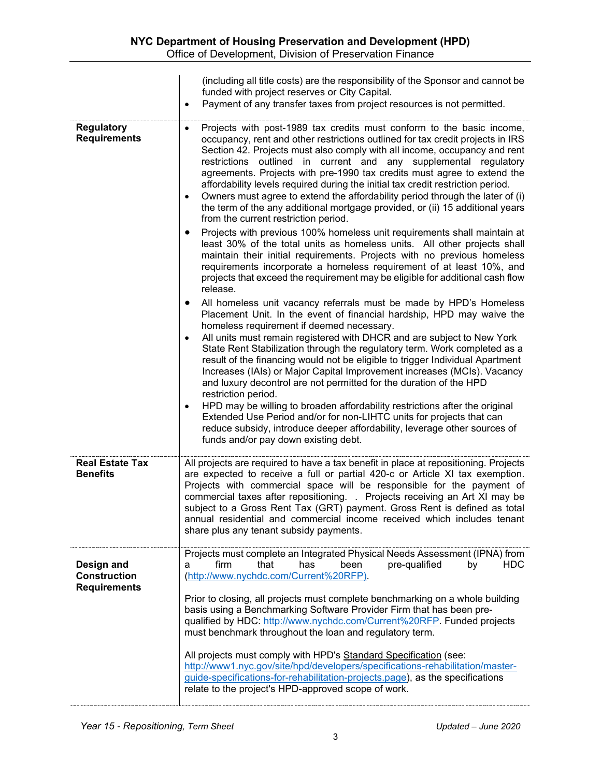| (including all title costs) are the responsibility of the Sponsor and cannot be<br>funded with project reserves or City Capital.<br>Payment of any transfer taxes from project resources is not permitted.<br>٠                                                                                                                                                                                                                                                                                                                                                                                                                                                                                                                                                                                                                                                                                                                                                                                                                                                                                            |
|------------------------------------------------------------------------------------------------------------------------------------------------------------------------------------------------------------------------------------------------------------------------------------------------------------------------------------------------------------------------------------------------------------------------------------------------------------------------------------------------------------------------------------------------------------------------------------------------------------------------------------------------------------------------------------------------------------------------------------------------------------------------------------------------------------------------------------------------------------------------------------------------------------------------------------------------------------------------------------------------------------------------------------------------------------------------------------------------------------|
|                                                                                                                                                                                                                                                                                                                                                                                                                                                                                                                                                                                                                                                                                                                                                                                                                                                                                                                                                                                                                                                                                                            |
| Projects with post-1989 tax credits must conform to the basic income,<br>٠<br>occupancy, rent and other restrictions outlined for tax credit projects in IRS<br>Section 42. Projects must also comply with all income, occupancy and rent<br>restrictions outlined in current and any supplemental regulatory<br>agreements. Projects with pre-1990 tax credits must agree to extend the<br>affordability levels required during the initial tax credit restriction period.<br>Owners must agree to extend the affordability period through the later of (i)<br>$\bullet$<br>the term of the any additional mortgage provided, or (ii) 15 additional years<br>from the current restriction period.<br>Projects with previous 100% homeless unit requirements shall maintain at<br>least 30% of the total units as homeless units. All other projects shall<br>maintain their initial requirements. Projects with no previous homeless<br>requirements incorporate a homeless requirement of at least 10%, and<br>projects that exceed the requirement may be eligible for additional cash flow<br>release. |
| All homeless unit vacancy referrals must be made by HPD's Homeless<br>٠<br>Placement Unit. In the event of financial hardship, HPD may waive the<br>homeless requirement if deemed necessary.<br>All units must remain registered with DHCR and are subject to New York<br>$\bullet$<br>State Rent Stabilization through the regulatory term. Work completed as a<br>result of the financing would not be eligible to trigger Individual Apartment<br>Increases (IAIs) or Major Capital Improvement increases (MCIs). Vacancy<br>and luxury decontrol are not permitted for the duration of the HPD<br>restriction period.<br>HPD may be willing to broaden affordability restrictions after the original<br>Extended Use Period and/or for non-LIHTC units for projects that can<br>reduce subsidy, introduce deeper affordability, leverage other sources of<br>funds and/or pay down existing debt.                                                                                                                                                                                                     |
| All projects are required to have a tax benefit in place at repositioning. Projects<br>are expected to receive a full or partial 420-c or Article XI tax exemption.<br>Projects with commercial space will be responsible for the payment of<br>commercial taxes after repositioning. . Projects receiving an Art XI may be<br>subject to a Gross Rent Tax (GRT) payment. Gross Rent is defined as total<br>annual residential and commercial income received which includes tenant<br>share plus any tenant subsidy payments.                                                                                                                                                                                                                                                                                                                                                                                                                                                                                                                                                                             |
| Projects must complete an Integrated Physical Needs Assessment (IPNA) from<br>that<br><b>HDC</b><br>firm<br>pre-qualified<br>has<br>been<br>by<br>а<br>(http://www.nychdc.com/Current%20RFP).<br>Prior to closing, all projects must complete benchmarking on a whole building<br>basis using a Benchmarking Software Provider Firm that has been pre-<br>qualified by HDC: http://www.nychdc.com/Current%20RFP. Funded projects<br>must benchmark throughout the loan and regulatory term.<br>All projects must comply with HPD's Standard Specification (see:<br>http://www1.nyc.gov/site/hpd/developers/specifications-rehabilitation/master-<br>guide-specifications-for-rehabilitation-projects.page), as the specifications<br>relate to the project's HPD-approved scope of work.                                                                                                                                                                                                                                                                                                                   |
|                                                                                                                                                                                                                                                                                                                                                                                                                                                                                                                                                                                                                                                                                                                                                                                                                                                                                                                                                                                                                                                                                                            |